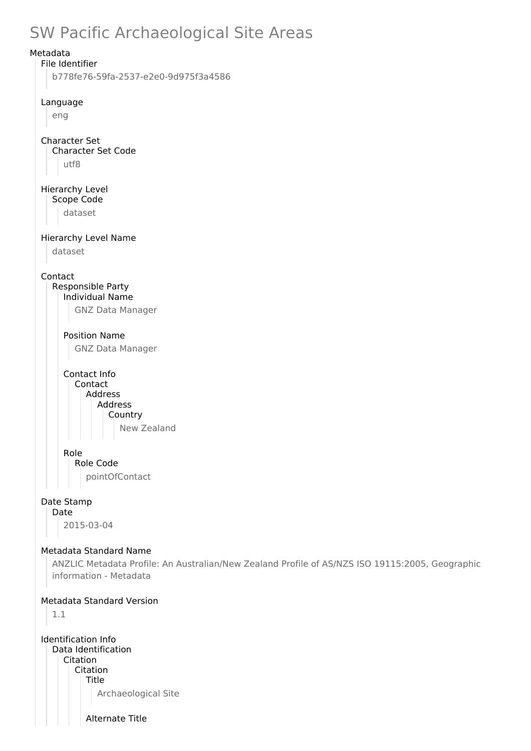# SW Pacific Archaeological Site Areas



Alternate Title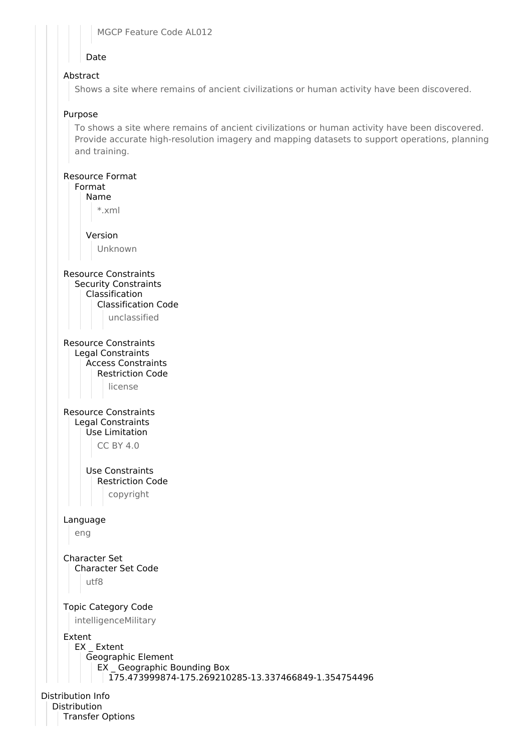#### MGCP Feature Code AL012

## Date

## Abstract

Shows a site where remains of ancient civilizations or human activity have been discovered.

#### Purpose

To shows a site where remains of ancient civilizations or human activity have been discovered. Provide accurate high-resolution imagery and mapping datasets to support operations, planning and training.

#### Resource Format



Distribution Info Distribution Transfer Options